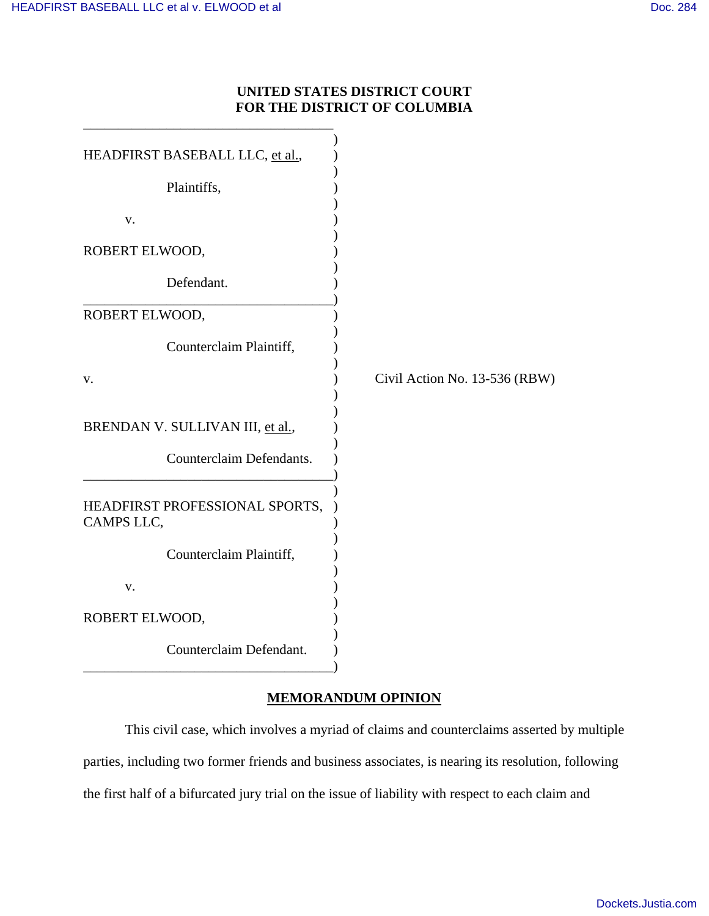### **UNITED STATES DISTRICT COURT FOR THE DISTRICT OF COLUMBIA**

| HEADFIRST BASEBALL LLC, et al.,              |                               |
|----------------------------------------------|-------------------------------|
| Plaintiffs,                                  |                               |
| V.                                           |                               |
| ROBERT ELWOOD,                               |                               |
| Defendant.                                   |                               |
| ROBERT ELWOOD,                               |                               |
| Counterclaim Plaintiff,                      |                               |
| v.                                           | Civil Action No. 13-536 (RBW) |
| BRENDAN V. SULLIVAN III, et al.,             |                               |
| Counterclaim Defendants.                     |                               |
| HEADFIRST PROFESSIONAL SPORTS,<br>CAMPS LLC, |                               |
| Counterclaim Plaintiff,                      |                               |
| v.                                           |                               |
| ROBERT ELWOOD,                               |                               |
| Counterclaim Defendant.                      |                               |

# **MEMORANDUM OPINION**

This civil case, which involves a myriad of claims and counterclaims asserted by multiple parties, including two former friends and business associates, is nearing its resolution, following the first half of a bifurcated jury trial on the issue of liability with respect to each claim and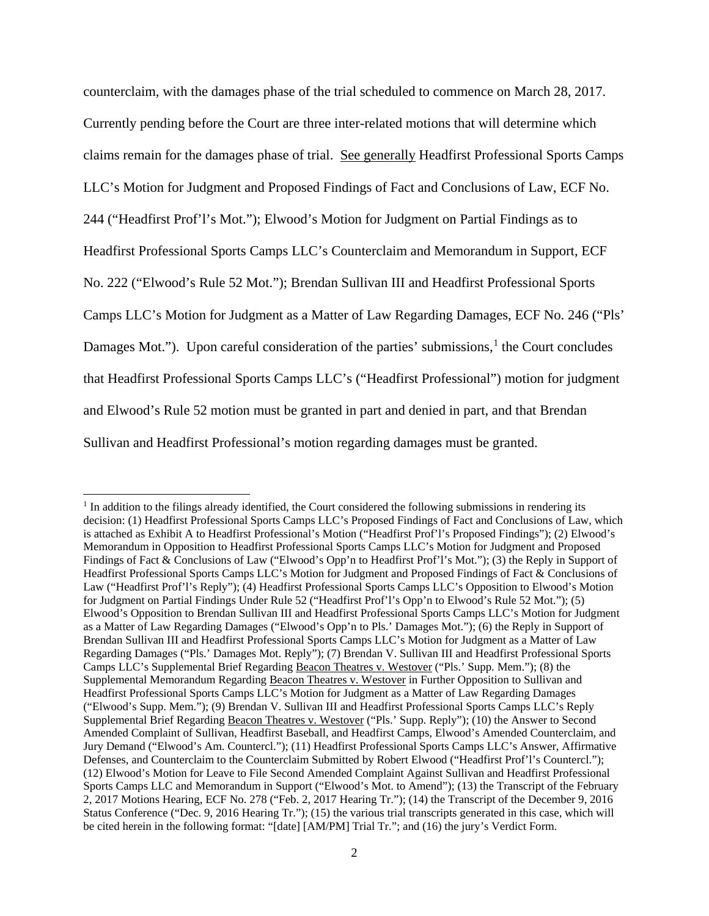counterclaim, with the damages phase of the trial scheduled to commence on March 28, 2017. Currently pending before the Court are three inter-related motions that will determine which claims remain for the damages phase of trial. See generally Headfirst Professional Sports Camps LLC's Motion for Judgment and Proposed Findings of Fact and Conclusions of Law, ECF No. 244 ("Headfirst Prof'l's Mot."); Elwood's Motion for Judgment on Partial Findings as to Headfirst Professional Sports Camps LLC's Counterclaim and Memorandum in Support, ECF No. 222 ("Elwood's Rule 52 Mot."); Brendan Sullivan III and Headfirst Professional Sports Camps LLC's Motion for Judgment as a Matter of Law Regarding Damages, ECF No. 246 ("Pls' Damages Mot."). Upon careful consideration of the parties' submissions,<sup>[1](#page-1-0)</sup> the Court concludes that Headfirst Professional Sports Camps LLC's ("Headfirst Professional") motion for judgment and Elwood's Rule 52 motion must be granted in part and denied in part, and that Brendan Sullivan and Headfirst Professional's motion regarding damages must be granted.

 $\overline{a}$ 

<span id="page-1-0"></span><sup>&</sup>lt;sup>1</sup> In addition to the filings already identified, the Court considered the following submissions in rendering its decision: (1) Headfirst Professional Sports Camps LLC's Proposed Findings of Fact and Conclusions of Law, which is attached as Exhibit A to Headfirst Professional's Motion ("Headfirst Prof'l's Proposed Findings"); (2) Elwood's Memorandum in Opposition to Headfirst Professional Sports Camps LLC's Motion for Judgment and Proposed Findings of Fact & Conclusions of Law ("Elwood's Opp'n to Headfirst Prof'l's Mot."); (3) the Reply in Support of Headfirst Professional Sports Camps LLC's Motion for Judgment and Proposed Findings of Fact & Conclusions of Law ("Headfirst Prof'l's Reply"); (4) Headfirst Professional Sports Camps LLC's Opposition to Elwood's Motion for Judgment on Partial Findings Under Rule 52 ("Headfirst Prof'l's Opp'n to Elwood's Rule 52 Mot."); (5) Elwood's Opposition to Brendan Sullivan III and Headfirst Professional Sports Camps LLC's Motion for Judgment as a Matter of Law Regarding Damages ("Elwood's Opp'n to Pls.' Damages Mot."); (6) the Reply in Support of Brendan Sullivan III and Headfirst Professional Sports Camps LLC's Motion for Judgment as a Matter of Law Regarding Damages ("Pls.' Damages Mot. Reply"); (7) Brendan V. Sullivan III and Headfirst Professional Sports Camps LLC's Supplemental Brief Regarding Beacon Theatres v. Westover ("Pls.' Supp. Mem."); (8) the Supplemental Memorandum Regarding Beacon Theatres v. Westover in Further Opposition to Sullivan and Headfirst Professional Sports Camps LLC's Motion for Judgment as a Matter of Law Regarding Damages ("Elwood's Supp. Mem."); (9) Brendan V. Sullivan III and Headfirst Professional Sports Camps LLC's Reply Supplemental Brief Regarding Beacon Theatres v. Westover ("Pls.' Supp. Reply"); (10) the Answer to Second Amended Complaint of Sullivan, Headfirst Baseball, and Headfirst Camps, Elwood's Amended Counterclaim, and Jury Demand ("Elwood's Am. Countercl."); (11) Headfirst Professional Sports Camps LLC's Answer, Affirmative Defenses, and Counterclaim to the Counterclaim Submitted by Robert Elwood ("Headfirst Prof'l's Countercl."); (12) Elwood's Motion for Leave to File Second Amended Complaint Against Sullivan and Headfirst Professional Sports Camps LLC and Memorandum in Support ("Elwood's Mot. to Amend"); (13) the Transcript of the February 2, 2017 Motions Hearing, ECF No. 278 ("Feb. 2, 2017 Hearing Tr."); (14) the Transcript of the December 9, 2016 Status Conference ("Dec. 9, 2016 Hearing Tr."); (15) the various trial transcripts generated in this case, which will be cited herein in the following format: "[date] [AM/PM] Trial Tr."; and (16) the jury's Verdict Form.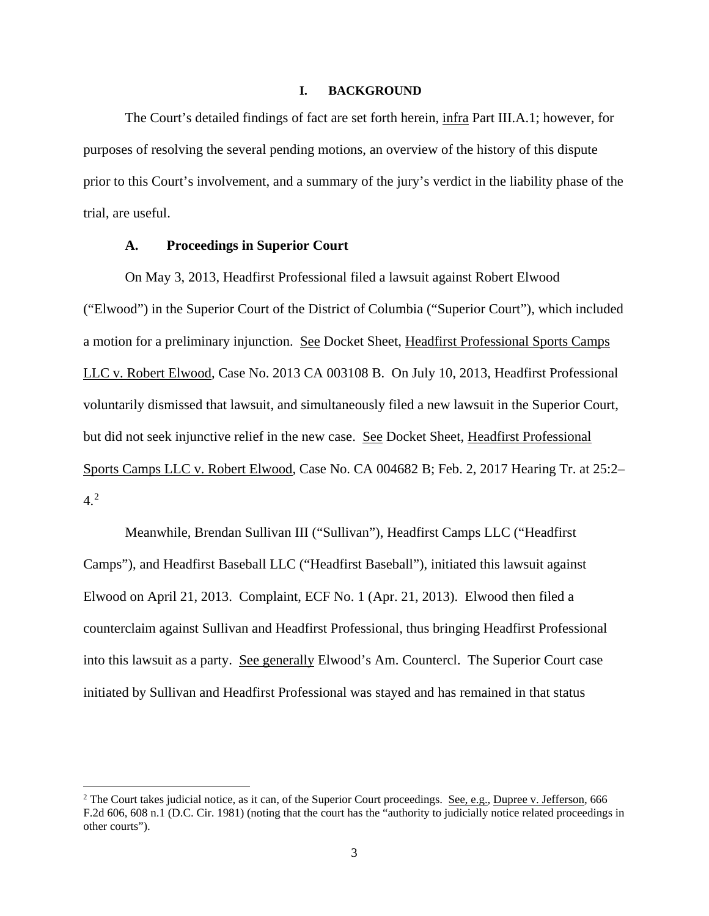#### **I. BACKGROUND**

The Court's detailed findings of fact are set forth herein, infra Part III.A.1; however, for purposes of resolving the several pending motions, an overview of the history of this dispute prior to this Court's involvement, and a summary of the jury's verdict in the liability phase of the trial, are useful.

#### **A. Proceedings in Superior Court**

 $\overline{a}$ 

On May 3, 2013, Headfirst Professional filed a lawsuit against Robert Elwood ("Elwood") in the Superior Court of the District of Columbia ("Superior Court"), which included a motion for a preliminary injunction. See Docket Sheet, Headfirst Professional Sports Camps LLC v. Robert Elwood, Case No. 2013 CA 003108 B. On July 10, 2013, Headfirst Professional voluntarily dismissed that lawsuit, and simultaneously filed a new lawsuit in the Superior Court, but did not seek injunctive relief in the new case. See Docket Sheet, Headfirst Professional Sports Camps LLC v. Robert Elwood, Case No. CA 004682 B; Feb. 2, 2017 Hearing Tr. at 25:2– 4.[2](#page-2-0)

Meanwhile, Brendan Sullivan III ("Sullivan"), Headfirst Camps LLC ("Headfirst Camps"), and Headfirst Baseball LLC ("Headfirst Baseball"), initiated this lawsuit against Elwood on April 21, 2013. Complaint, ECF No. 1 (Apr. 21, 2013). Elwood then filed a counterclaim against Sullivan and Headfirst Professional, thus bringing Headfirst Professional into this lawsuit as a party. See generally Elwood's Am. Countercl. The Superior Court case initiated by Sullivan and Headfirst Professional was stayed and has remained in that status

<span id="page-2-0"></span><sup>&</sup>lt;sup>2</sup> The Court takes judicial notice, as it can, of the Superior Court proceedings. See, e.g., Dupree v. Jefferson, 666 F.2d 606, 608 n.1 (D.C. Cir. 1981) (noting that the court has the "authority to judicially notice related proceedings in other courts").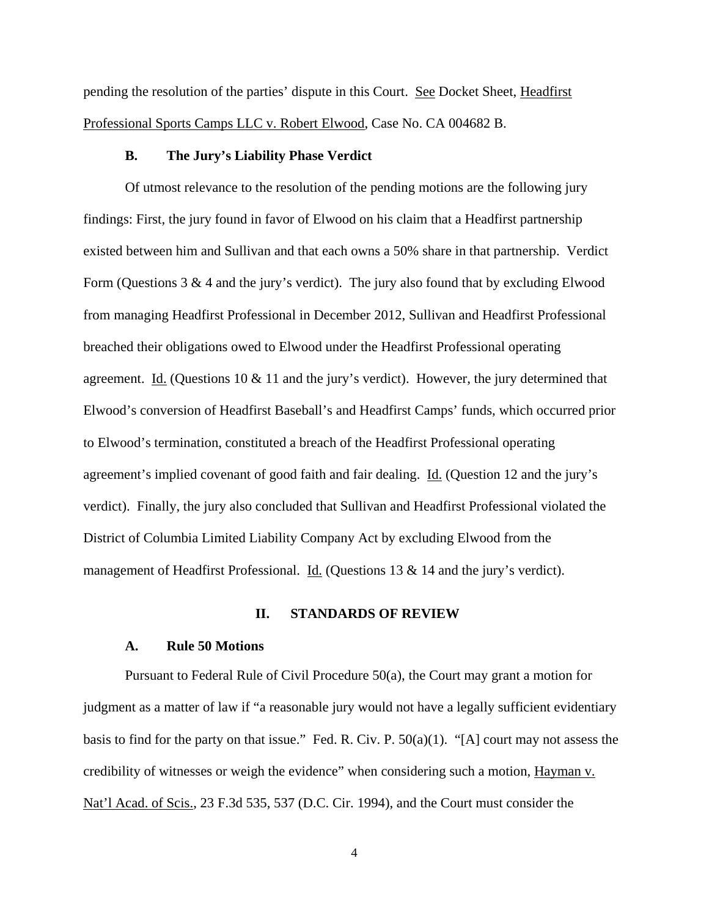pending the resolution of the parties' dispute in this Court. See Docket Sheet, Headfirst Professional Sports Camps LLC v. Robert Elwood, Case No. CA 004682 B.

#### **B. The Jury's Liability Phase Verdict**

Of utmost relevance to the resolution of the pending motions are the following jury findings: First, the jury found in favor of Elwood on his claim that a Headfirst partnership existed between him and Sullivan and that each owns a 50% share in that partnership. Verdict Form (Questions  $3 \& 4$  and the jury's verdict). The jury also found that by excluding Elwood from managing Headfirst Professional in December 2012, Sullivan and Headfirst Professional breached their obligations owed to Elwood under the Headfirst Professional operating agreement. Id. (Questions 10  $& 11$  and the jury's verdict). However, the jury determined that Elwood's conversion of Headfirst Baseball's and Headfirst Camps' funds, which occurred prior to Elwood's termination, constituted a breach of the Headfirst Professional operating agreement's implied covenant of good faith and fair dealing. Id. (Question 12 and the jury's verdict). Finally, the jury also concluded that Sullivan and Headfirst Professional violated the District of Columbia Limited Liability Company Act by excluding Elwood from the management of Headfirst Professional. Id. (Questions 13 & 14 and the jury's verdict).

#### **II. STANDARDS OF REVIEW**

#### **A. Rule 50 Motions**

Pursuant to Federal Rule of Civil Procedure 50(a), the Court may grant a motion for judgment as a matter of law if "a reasonable jury would not have a legally sufficient evidentiary basis to find for the party on that issue." Fed. R. Civ. P. 50(a)(1). "[A] court may not assess the credibility of witnesses or weigh the evidence" when considering such a motion, Hayman v. Nat'l Acad. of Scis., 23 F.3d 535, 537 (D.C. Cir. 1994), and the Court must consider the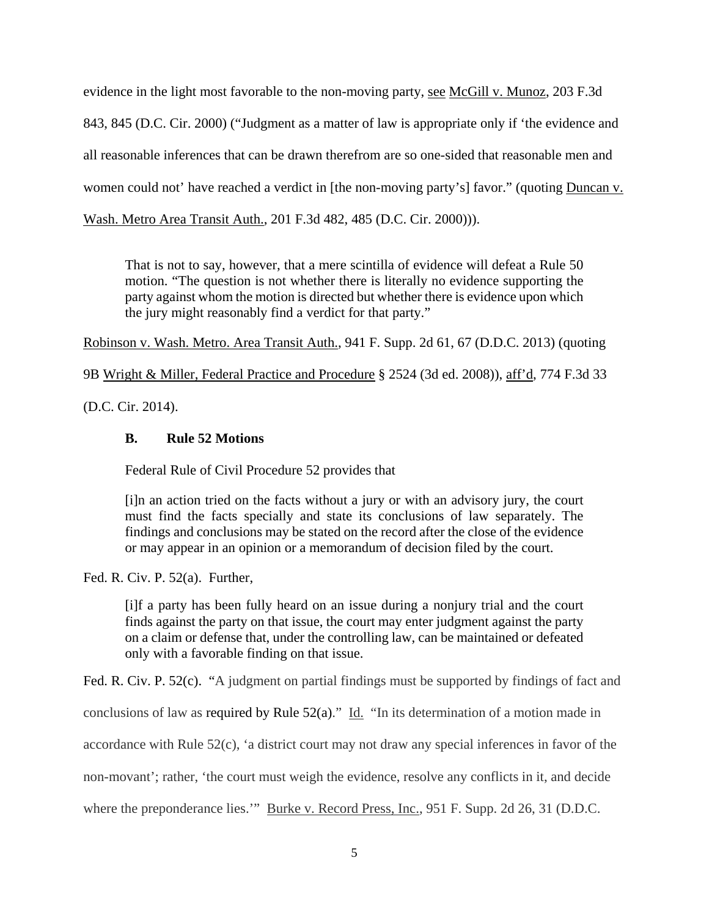evidence in the light most favorable to the non-moving party, see McGill v. Munoz, 203 F.3d 843, 845 (D.C. Cir. 2000) ("Judgment as a matter of law is appropriate only if 'the evidence and all reasonable inferences that can be drawn therefrom are so one-sided that reasonable men and women could not' have reached a verdict in [the non-moving party's] favor." (quoting Duncan v. Wash. Metro Area Transit Auth., 201 F.3d 482, 485 (D.C. Cir. 2000))).

That is not to say, however, that a mere scintilla of evidence will defeat a Rule 50 motion. "The question is not whether there is literally no evidence supporting the party against whom the motion is directed but whether there is evidence upon which the jury might reasonably find a verdict for that party."

Robinson v. Wash. Metro. Area Transit Auth., 941 F. Supp. 2d 61, 67 (D.D.C. 2013) (quoting

9B Wright & Miller, Federal Practice and Procedure § 2524 (3d ed. 2008)), aff'd, 774 F.3d 33

(D.C. Cir. 2014).

## **B. Rule 52 Motions**

Federal Rule of Civil Procedure 52 provides that

[i]n an action tried on the facts without a jury or with an advisory jury, the court must find the facts specially and state its conclusions of law separately. The findings and conclusions may be stated on the record after the close of the evidence or may appear in an opinion or a memorandum of decision filed by the court.

Fed. R. Civ. P. 52(a). Further,

[i]f a party has been fully heard on an issue during a nonjury trial and the court finds against the party on that issue, the court may enter judgment against the party on a claim or defense that, under the controlling law, can be maintained or defeated only with a favorable finding on that issue.

Fed. R. Civ. P. 52(c). "A judgment on partial findings must be supported by findings of fact and conclusions of law as required by Rule  $52(a)$ ." Id. "In its determination of a motion made in accordance with Rule 52(c), 'a district court may not draw any special inferences in favor of the non-movant'; rather, 'the court must weigh the evidence, resolve any conflicts in it, and decide where the preponderance lies.'" Burke v. Record Press, Inc., 951 F. Supp. 2d 26, 31 (D.D.C.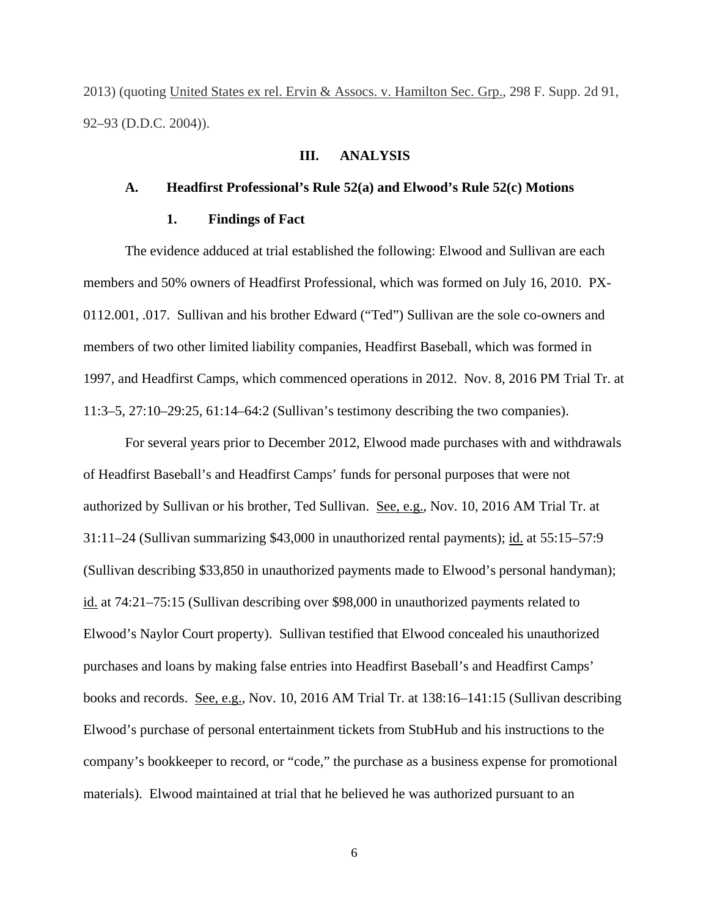2013) (quoting United States ex rel. Ervin & Assocs. v. Hamilton Sec. Grp., 298 F. Supp. 2d 91, 92–93 (D.D.C. 2004)).

### **III. ANALYSIS**

#### **A. Headfirst Professional's Rule 52(a) and Elwood's Rule 52(c) Motions**

#### **1. Findings of Fact**

The evidence adduced at trial established the following: Elwood and Sullivan are each members and 50% owners of Headfirst Professional, which was formed on July 16, 2010. PX-0112.001, .017. Sullivan and his brother Edward ("Ted") Sullivan are the sole co-owners and members of two other limited liability companies, Headfirst Baseball, which was formed in 1997, and Headfirst Camps, which commenced operations in 2012. Nov. 8, 2016 PM Trial Tr. at 11:3–5, 27:10–29:25, 61:14–64:2 (Sullivan's testimony describing the two companies).

For several years prior to December 2012, Elwood made purchases with and withdrawals of Headfirst Baseball's and Headfirst Camps' funds for personal purposes that were not authorized by Sullivan or his brother, Ted Sullivan. See, e.g., Nov. 10, 2016 AM Trial Tr. at 31:11–24 (Sullivan summarizing \$43,000 in unauthorized rental payments); id. at 55:15–57:9 (Sullivan describing \$33,850 in unauthorized payments made to Elwood's personal handyman); id. at 74:21–75:15 (Sullivan describing over \$98,000 in unauthorized payments related to Elwood's Naylor Court property). Sullivan testified that Elwood concealed his unauthorized purchases and loans by making false entries into Headfirst Baseball's and Headfirst Camps' books and records. See, e.g., Nov. 10, 2016 AM Trial Tr. at 138:16–141:15 (Sullivan describing Elwood's purchase of personal entertainment tickets from StubHub and his instructions to the company's bookkeeper to record, or "code," the purchase as a business expense for promotional materials). Elwood maintained at trial that he believed he was authorized pursuant to an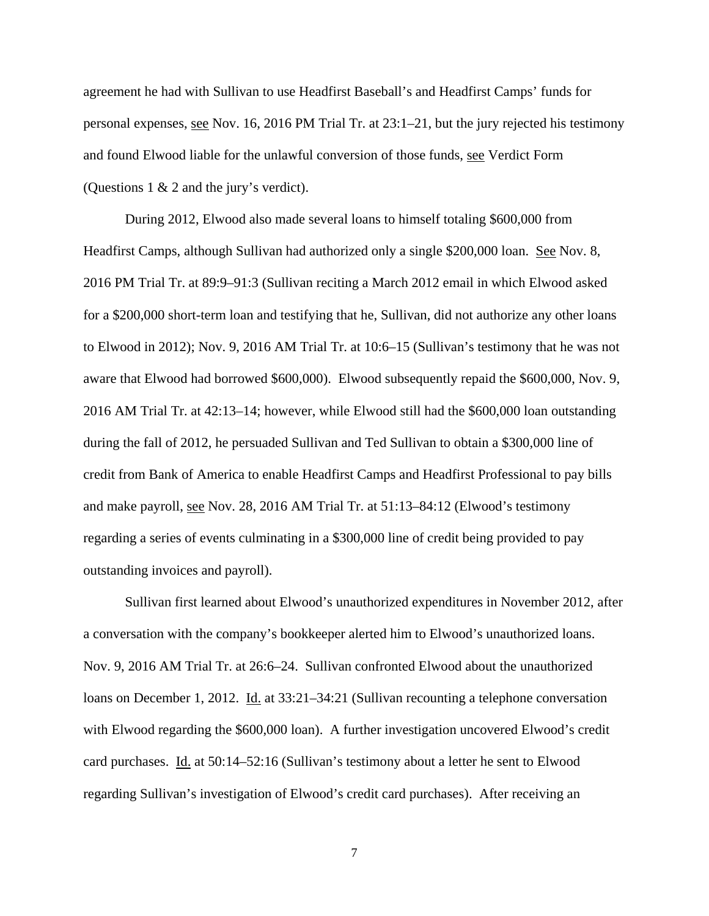agreement he had with Sullivan to use Headfirst Baseball's and Headfirst Camps' funds for personal expenses, see Nov. 16, 2016 PM Trial Tr. at 23:1–21, but the jury rejected his testimony and found Elwood liable for the unlawful conversion of those funds, see Verdict Form (Questions 1 & 2 and the jury's verdict).

During 2012, Elwood also made several loans to himself totaling \$600,000 from Headfirst Camps, although Sullivan had authorized only a single \$200,000 loan. See Nov. 8, 2016 PM Trial Tr. at 89:9–91:3 (Sullivan reciting a March 2012 email in which Elwood asked for a \$200,000 short-term loan and testifying that he, Sullivan, did not authorize any other loans to Elwood in 2012); Nov. 9, 2016 AM Trial Tr. at 10:6–15 (Sullivan's testimony that he was not aware that Elwood had borrowed \$600,000). Elwood subsequently repaid the \$600,000, Nov. 9, 2016 AM Trial Tr. at 42:13–14; however, while Elwood still had the \$600,000 loan outstanding during the fall of 2012, he persuaded Sullivan and Ted Sullivan to obtain a \$300,000 line of credit from Bank of America to enable Headfirst Camps and Headfirst Professional to pay bills and make payroll, see Nov. 28, 2016 AM Trial Tr. at 51:13–84:12 (Elwood's testimony regarding a series of events culminating in a \$300,000 line of credit being provided to pay outstanding invoices and payroll).

Sullivan first learned about Elwood's unauthorized expenditures in November 2012, after a conversation with the company's bookkeeper alerted him to Elwood's unauthorized loans. Nov. 9, 2016 AM Trial Tr. at 26:6–24. Sullivan confronted Elwood about the unauthorized loans on December 1, 2012. Id. at 33:21–34:21 (Sullivan recounting a telephone conversation with Elwood regarding the \$600,000 loan). A further investigation uncovered Elwood's credit card purchases. Id. at 50:14–52:16 (Sullivan's testimony about a letter he sent to Elwood regarding Sullivan's investigation of Elwood's credit card purchases). After receiving an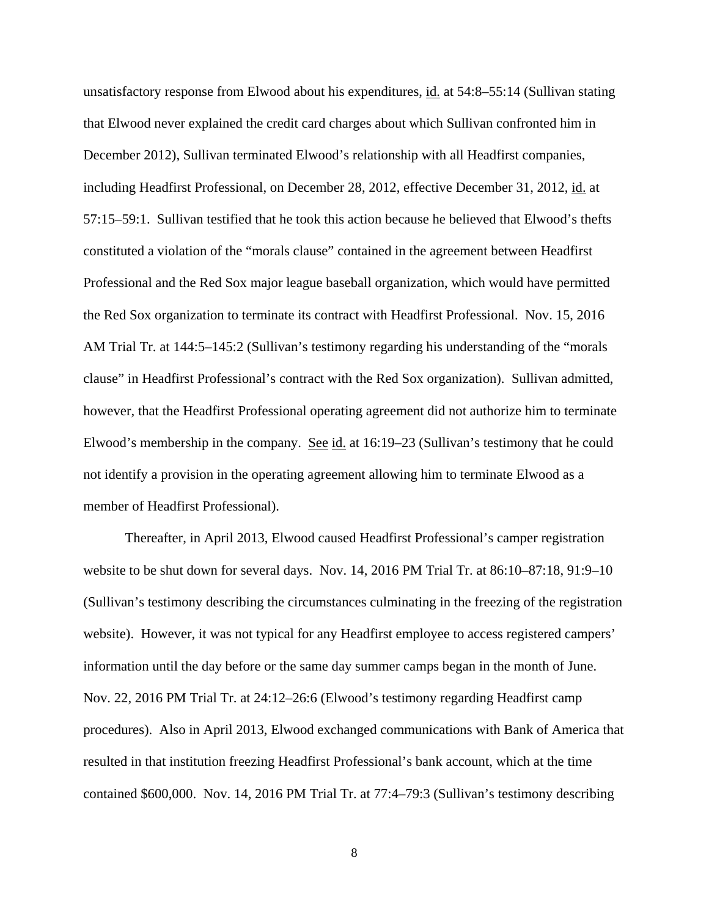unsatisfactory response from Elwood about his expenditures, id. at 54:8–55:14 (Sullivan stating that Elwood never explained the credit card charges about which Sullivan confronted him in December 2012), Sullivan terminated Elwood's relationship with all Headfirst companies, including Headfirst Professional, on December 28, 2012, effective December 31, 2012, id. at 57:15–59:1. Sullivan testified that he took this action because he believed that Elwood's thefts constituted a violation of the "morals clause" contained in the agreement between Headfirst Professional and the Red Sox major league baseball organization, which would have permitted the Red Sox organization to terminate its contract with Headfirst Professional. Nov. 15, 2016 AM Trial Tr. at 144:5–145:2 (Sullivan's testimony regarding his understanding of the "morals clause" in Headfirst Professional's contract with the Red Sox organization). Sullivan admitted, however, that the Headfirst Professional operating agreement did not authorize him to terminate Elwood's membership in the company. See id. at 16:19–23 (Sullivan's testimony that he could not identify a provision in the operating agreement allowing him to terminate Elwood as a member of Headfirst Professional).

Thereafter, in April 2013, Elwood caused Headfirst Professional's camper registration website to be shut down for several days. Nov. 14, 2016 PM Trial Tr. at 86:10–87:18, 91:9–10 (Sullivan's testimony describing the circumstances culminating in the freezing of the registration website). However, it was not typical for any Headfirst employee to access registered campers' information until the day before or the same day summer camps began in the month of June. Nov. 22, 2016 PM Trial Tr. at 24:12–26:6 (Elwood's testimony regarding Headfirst camp procedures). Also in April 2013, Elwood exchanged communications with Bank of America that resulted in that institution freezing Headfirst Professional's bank account, which at the time contained \$600,000. Nov. 14, 2016 PM Trial Tr. at 77:4–79:3 (Sullivan's testimony describing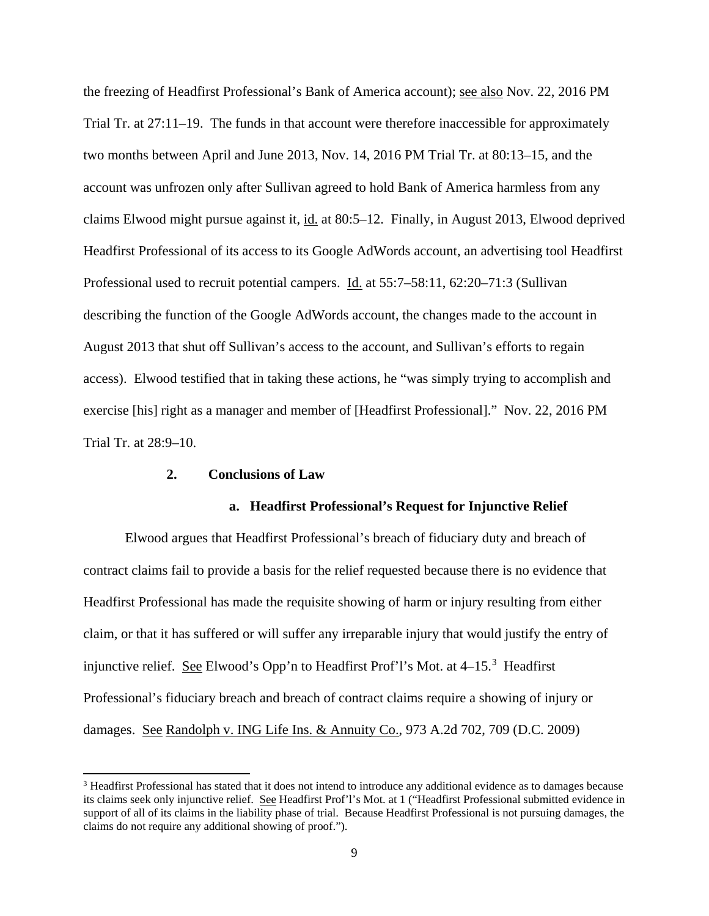the freezing of Headfirst Professional's Bank of America account); see also Nov. 22, 2016 PM Trial Tr. at 27:11–19. The funds in that account were therefore inaccessible for approximately two months between April and June 2013, Nov. 14, 2016 PM Trial Tr. at 80:13–15, and the account was unfrozen only after Sullivan agreed to hold Bank of America harmless from any claims Elwood might pursue against it, id. at 80:5–12. Finally, in August 2013, Elwood deprived Headfirst Professional of its access to its Google AdWords account, an advertising tool Headfirst Professional used to recruit potential campers. Id. at 55:7–58:11, 62:20–71:3 (Sullivan describing the function of the Google AdWords account, the changes made to the account in August 2013 that shut off Sullivan's access to the account, and Sullivan's efforts to regain access). Elwood testified that in taking these actions, he "was simply trying to accomplish and exercise [his] right as a manager and member of [Headfirst Professional]." Nov. 22, 2016 PM Trial Tr. at 28:9–10.

#### **2. Conclusions of Law**

-

#### **a. Headfirst Professional's Request for Injunctive Relief**

Elwood argues that Headfirst Professional's breach of fiduciary duty and breach of contract claims fail to provide a basis for the relief requested because there is no evidence that Headfirst Professional has made the requisite showing of harm or injury resulting from either claim, or that it has suffered or will suffer any irreparable injury that would justify the entry of injunctive relief. See Elwood's Opp'n to Headfirst Prof'l's Mot. at 4–15.<sup>[3](#page-8-0)</sup> Headfirst Professional's fiduciary breach and breach of contract claims require a showing of injury or damages. See Randolph v. ING Life Ins. & Annuity Co., 973 A.2d 702, 709 (D.C. 2009)

<span id="page-8-0"></span><sup>&</sup>lt;sup>3</sup> Headfirst Professional has stated that it does not intend to introduce any additional evidence as to damages because its claims seek only injunctive relief. See Headfirst Prof'l's Mot. at 1 ("Headfirst Professional submitted evidence in support of all of its claims in the liability phase of trial. Because Headfirst Professional is not pursuing damages, the claims do not require any additional showing of proof.").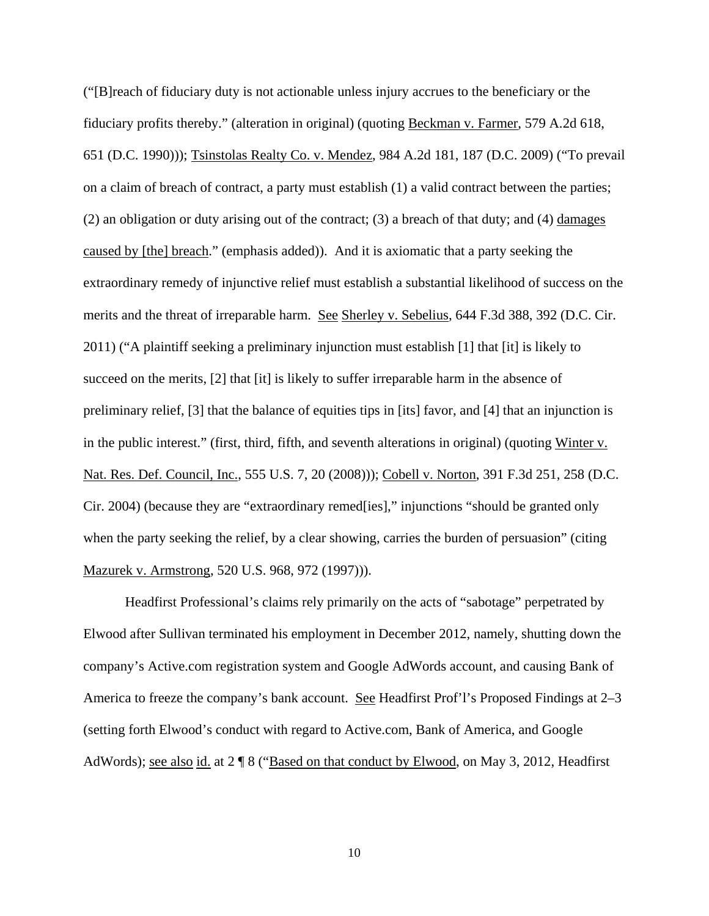("[B]reach of fiduciary duty is not actionable unless injury accrues to the beneficiary or the fiduciary profits thereby." (alteration in original) (quoting Beckman v. Farmer, 579 A.2d 618, 651 (D.C. 1990))); Tsinstolas Realty Co. v. Mendez, 984 A.2d 181, 187 (D.C. 2009) ("To prevail on a claim of breach of contract, a party must establish (1) a valid contract between the parties; (2) an obligation or duty arising out of the contract; (3) a breach of that duty; and (4) damages caused by [the] breach." (emphasis added)). And it is axiomatic that a party seeking the extraordinary remedy of injunctive relief must establish a substantial likelihood of success on the merits and the threat of irreparable harm. See Sherley v. Sebelius, 644 F.3d 388, 392 (D.C. Cir. 2011) ("A plaintiff seeking a preliminary injunction must establish [1] that [it] is likely to succeed on the merits, [2] that [it] is likely to suffer irreparable harm in the absence of preliminary relief, [3] that the balance of equities tips in [its] favor, and [4] that an injunction is in the public interest." (first, third, fifth, and seventh alterations in original) (quoting Winter v. Nat. Res. Def. Council, Inc., 555 U.S. 7, 20 (2008))); Cobell v. Norton, 391 F.3d 251, 258 (D.C. Cir. 2004) (because they are "extraordinary remed[ies]," injunctions "should be granted only when the party seeking the relief, by a clear showing, carries the burden of persuasion" (citing Mazurek v. Armstrong, 520 U.S. 968, 972 (1997))).

Headfirst Professional's claims rely primarily on the acts of "sabotage" perpetrated by Elwood after Sullivan terminated his employment in December 2012, namely, shutting down the company's Active.com registration system and Google AdWords account, and causing Bank of America to freeze the company's bank account. See Headfirst Prof'l's Proposed Findings at 2–3 (setting forth Elwood's conduct with regard to Active.com, Bank of America, and Google AdWords); see also id. at 2 ¶ 8 ("Based on that conduct by Elwood, on May 3, 2012, Headfirst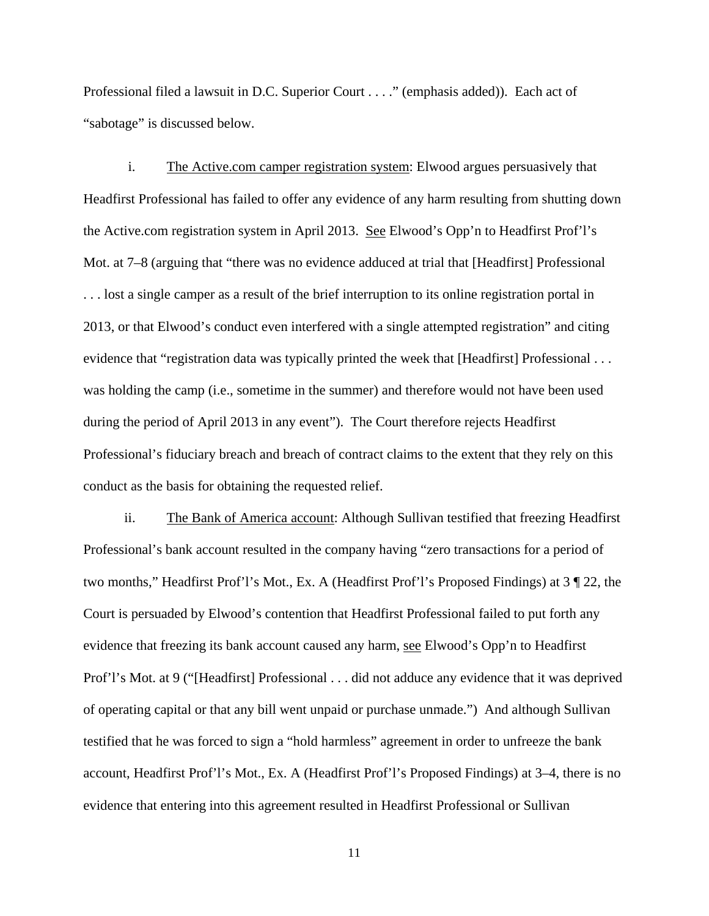Professional filed a lawsuit in D.C. Superior Court . . . ." (emphasis added)). Each act of "sabotage" is discussed below.

i. The Active.com camper registration system: Elwood argues persuasively that Headfirst Professional has failed to offer any evidence of any harm resulting from shutting down the Active.com registration system in April 2013. See Elwood's Opp'n to Headfirst Prof'l's Mot. at 7–8 (arguing that "there was no evidence adduced at trial that [Headfirst] Professional . . . lost a single camper as a result of the brief interruption to its online registration portal in 2013, or that Elwood's conduct even interfered with a single attempted registration" and citing evidence that "registration data was typically printed the week that [Headfirst] Professional . . . was holding the camp (i.e., sometime in the summer) and therefore would not have been used during the period of April 2013 in any event"). The Court therefore rejects Headfirst Professional's fiduciary breach and breach of contract claims to the extent that they rely on this conduct as the basis for obtaining the requested relief.

ii. The Bank of America account: Although Sullivan testified that freezing Headfirst Professional's bank account resulted in the company having "zero transactions for a period of two months," Headfirst Prof'l's Mot., Ex. A (Headfirst Prof'l's Proposed Findings) at 3 ¶ 22, the Court is persuaded by Elwood's contention that Headfirst Professional failed to put forth any evidence that freezing its bank account caused any harm, see Elwood's Opp'n to Headfirst Prof'l's Mot. at 9 ("[Headfirst] Professional . . . did not adduce any evidence that it was deprived of operating capital or that any bill went unpaid or purchase unmade.") And although Sullivan testified that he was forced to sign a "hold harmless" agreement in order to unfreeze the bank account, Headfirst Prof'l's Mot., Ex. A (Headfirst Prof'l's Proposed Findings) at 3–4, there is no evidence that entering into this agreement resulted in Headfirst Professional or Sullivan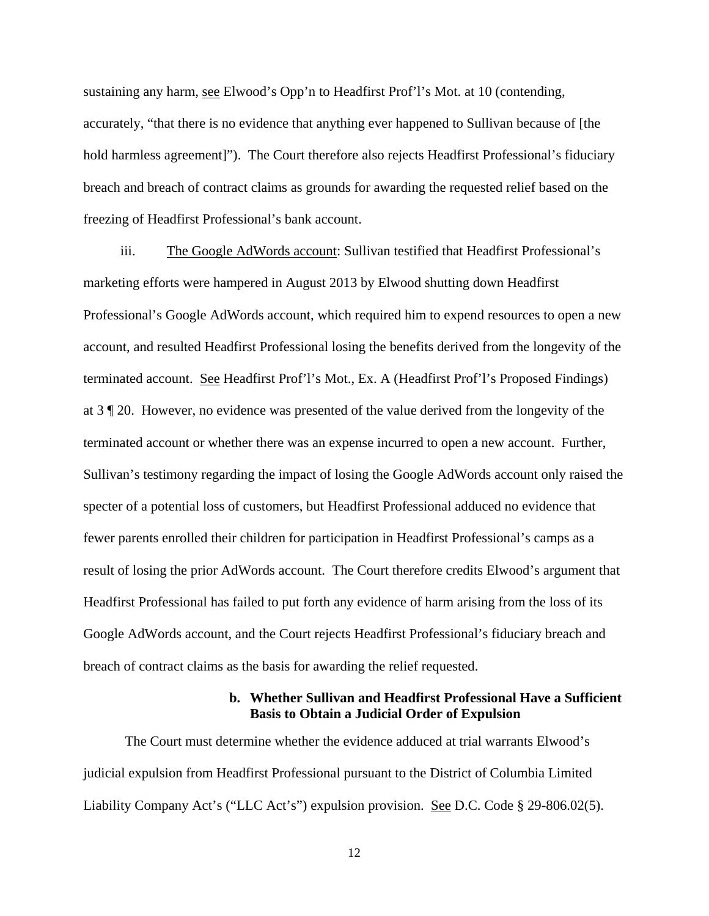sustaining any harm, see Elwood's Opp'n to Headfirst Prof'l's Mot. at 10 (contending, accurately, "that there is no evidence that anything ever happened to Sullivan because of [the hold harmless agreement]"). The Court therefore also rejects Headfirst Professional's fiduciary breach and breach of contract claims as grounds for awarding the requested relief based on the freezing of Headfirst Professional's bank account.

iii. The Google AdWords account: Sullivan testified that Headfirst Professional's marketing efforts were hampered in August 2013 by Elwood shutting down Headfirst Professional's Google AdWords account, which required him to expend resources to open a new account, and resulted Headfirst Professional losing the benefits derived from the longevity of the terminated account. See Headfirst Prof'l's Mot., Ex. A (Headfirst Prof'l's Proposed Findings) at 3 ¶ 20. However, no evidence was presented of the value derived from the longevity of the terminated account or whether there was an expense incurred to open a new account. Further, Sullivan's testimony regarding the impact of losing the Google AdWords account only raised the specter of a potential loss of customers, but Headfirst Professional adduced no evidence that fewer parents enrolled their children for participation in Headfirst Professional's camps as a result of losing the prior AdWords account. The Court therefore credits Elwood's argument that Headfirst Professional has failed to put forth any evidence of harm arising from the loss of its Google AdWords account, and the Court rejects Headfirst Professional's fiduciary breach and breach of contract claims as the basis for awarding the relief requested.

### **b. Whether Sullivan and Headfirst Professional Have a Sufficient Basis to Obtain a Judicial Order of Expulsion**

The Court must determine whether the evidence adduced at trial warrants Elwood's judicial expulsion from Headfirst Professional pursuant to the District of Columbia Limited Liability Company Act's ("LLC Act's") expulsion provision. See D.C. Code  $\S$  29-806.02(5).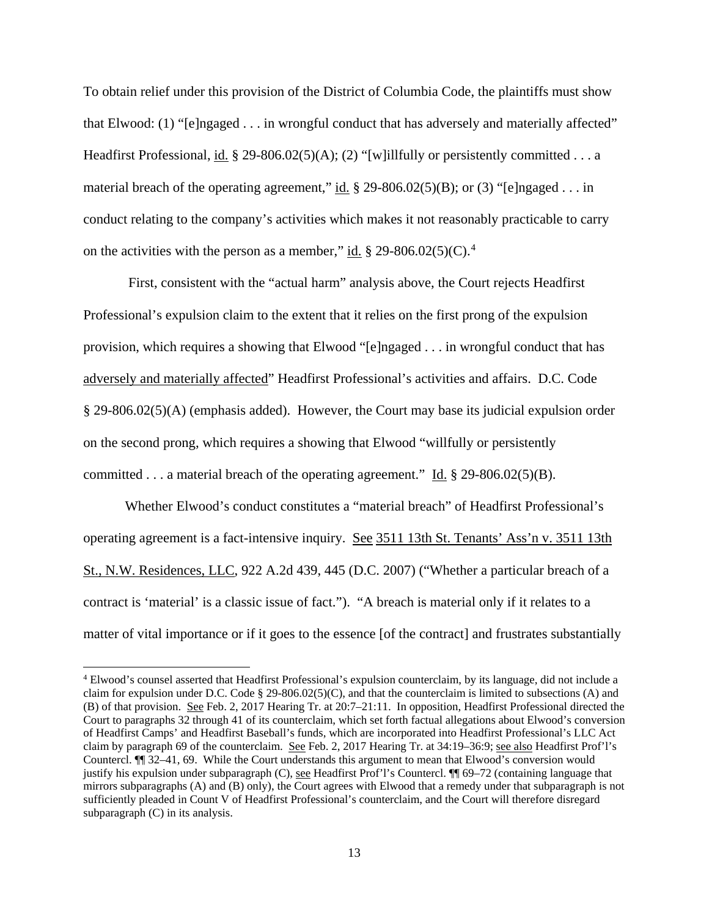To obtain relief under this provision of the District of Columbia Code, the plaintiffs must show that Elwood: (1) "[e]ngaged . . . in wrongful conduct that has adversely and materially affected" Headfirst Professional, id.  $\S 29-806.02(5)(A)$ ; (2) "[w]illfully or persistently committed . . . a material breach of the operating agreement," id.  $\S 29-806.02(5)(B)$ ; or (3) "[e]ngaged . . . in conduct relating to the company's activities which makes it not reasonably practicable to carry on the activities with the person as a member," id.  $\S 29-806.02(5)(C)$ .<sup>[4](#page-12-0)</sup>

First, consistent with the "actual harm" analysis above, the Court rejects Headfirst Professional's expulsion claim to the extent that it relies on the first prong of the expulsion provision, which requires a showing that Elwood "[e]ngaged . . . in wrongful conduct that has adversely and materially affected" Headfirst Professional's activities and affairs. D.C. Code § 29-806.02(5)(A) (emphasis added). However, the Court may base its judicial expulsion order on the second prong, which requires a showing that Elwood "willfully or persistently committed . . . a material breach of the operating agreement." Id. § 29-806.02(5)(B).

Whether Elwood's conduct constitutes a "material breach" of Headfirst Professional's operating agreement is a fact-intensive inquiry. See 3511 13th St. Tenants' Ass'n v. 3511 13th St., N.W. Residences, LLC, 922 A.2d 439, 445 (D.C. 2007) ("Whether a particular breach of a contract is 'material' is a classic issue of fact."). "A breach is material only if it relates to a matter of vital importance or if it goes to the essence [of the contract] and frustrates substantially

 $\overline{a}$ 

<span id="page-12-0"></span><sup>&</sup>lt;sup>4</sup> Elwood's counsel asserted that Headfirst Professional's expulsion counterclaim, by its language, did not include a claim for expulsion under D.C. Code § 29-806.02(5)(C), and that the counterclaim is limited to subsections (A) and (B) of that provision. See Feb. 2, 2017 Hearing Tr. at 20:7–21:11. In opposition, Headfirst Professional directed the Court to paragraphs 32 through 41 of its counterclaim, which set forth factual allegations about Elwood's conversion of Headfirst Camps' and Headfirst Baseball's funds, which are incorporated into Headfirst Professional's LLC Act claim by paragraph 69 of the counterclaim. See Feb. 2, 2017 Hearing Tr. at 34:19–36:9; see also Headfirst Prof'l's Countercl. ¶¶ 32–41, 69. While the Court understands this argument to mean that Elwood's conversion would justify his expulsion under subparagraph (C), see Headfirst Prof'l's Countercl. ¶¶ 69–72 (containing language that mirrors subparagraphs (A) and (B) only), the Court agrees with Elwood that a remedy under that subparagraph is not sufficiently pleaded in Count V of Headfirst Professional's counterclaim, and the Court will therefore disregard subparagraph (C) in its analysis.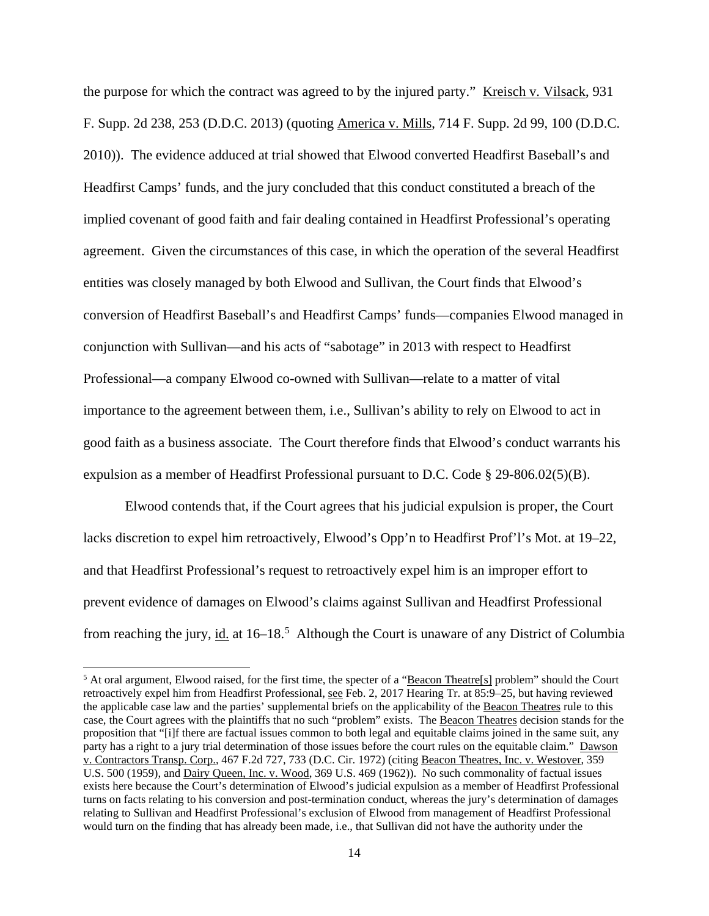the purpose for which the contract was agreed to by the injured party." Kreisch v. Vilsack, 931 F. Supp. 2d 238, 253 (D.D.C. 2013) (quoting America v. Mills, 714 F. Supp. 2d 99, 100 (D.D.C. 2010)). The evidence adduced at trial showed that Elwood converted Headfirst Baseball's and Headfirst Camps' funds, and the jury concluded that this conduct constituted a breach of the implied covenant of good faith and fair dealing contained in Headfirst Professional's operating agreement. Given the circumstances of this case, in which the operation of the several Headfirst entities was closely managed by both Elwood and Sullivan, the Court finds that Elwood's conversion of Headfirst Baseball's and Headfirst Camps' funds—companies Elwood managed in conjunction with Sullivan—and his acts of "sabotage" in 2013 with respect to Headfirst Professional—a company Elwood co-owned with Sullivan—relate to a matter of vital importance to the agreement between them, i.e., Sullivan's ability to rely on Elwood to act in good faith as a business associate. The Court therefore finds that Elwood's conduct warrants his expulsion as a member of Headfirst Professional pursuant to D.C. Code § 29-806.02(5)(B).

Elwood contends that, if the Court agrees that his judicial expulsion is proper, the Court lacks discretion to expel him retroactively, Elwood's Opp'n to Headfirst Prof'l's Mot. at 19–22, and that Headfirst Professional's request to retroactively expel him is an improper effort to prevent evidence of damages on Elwood's claims against Sullivan and Headfirst Professional from reaching the jury, id. at 16–18.<sup>[5](#page-13-0)</sup> Although the Court is unaware of any District of Columbia

 $\overline{a}$ 

<span id="page-13-0"></span><sup>&</sup>lt;sup>5</sup> At oral argument, Elwood raised, for the first time, the specter of a "Beacon Theatre[s] problem" should the Court retroactively expel him from Headfirst Professional, see Feb. 2, 2017 Hearing Tr. at 85:9–25, but having reviewed the applicable case law and the parties' supplemental briefs on the applicability of the Beacon Theatres rule to this case, the Court agrees with the plaintiffs that no such "problem" exists. The Beacon Theatres decision stands for the proposition that "[i]f there are factual issues common to both legal and equitable claims joined in the same suit, any party has a right to a jury trial determination of those issues before the court rules on the equitable claim." Dawson v. Contractors Transp. Corp., 467 F.2d 727, 733 (D.C. Cir. 1972) (citing Beacon Theatres, Inc. v. Westover, 359 U.S. 500 (1959), and Dairy Queen, Inc. v. Wood, 369 U.S. 469 (1962)). No such commonality of factual issues exists here because the Court's determination of Elwood's judicial expulsion as a member of Headfirst Professional turns on facts relating to his conversion and post-termination conduct, whereas the jury's determination of damages relating to Sullivan and Headfirst Professional's exclusion of Elwood from management of Headfirst Professional would turn on the finding that has already been made, i.e., that Sullivan did not have the authority under the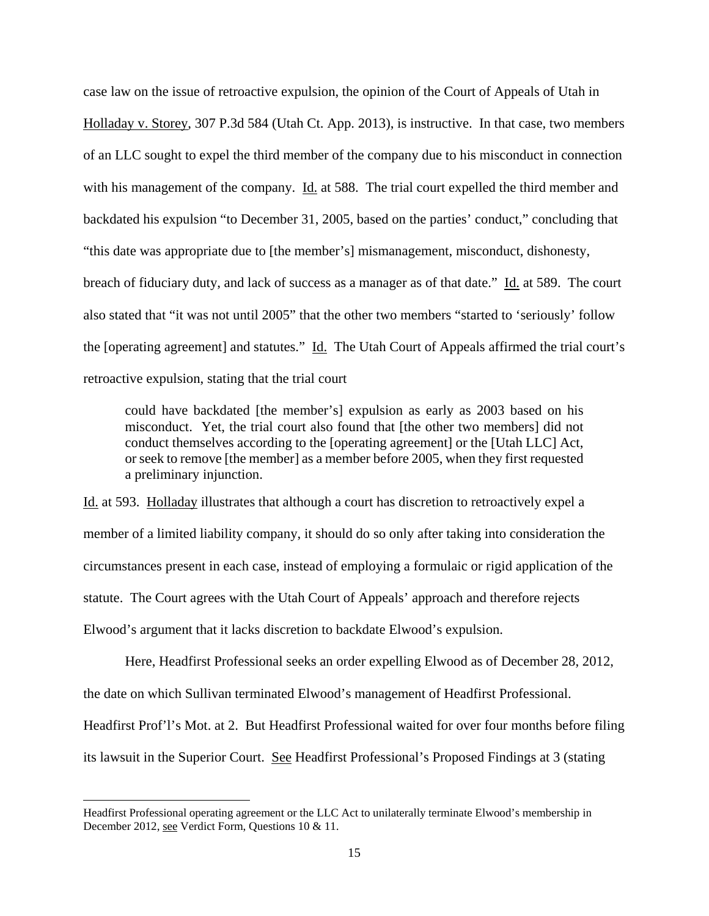case law on the issue of retroactive expulsion, the opinion of the Court of Appeals of Utah in Holladay v. Storey, 307 P.3d 584 (Utah Ct. App. 2013), is instructive. In that case, two members of an LLC sought to expel the third member of the company due to his misconduct in connection with his management of the company. Id. at 588. The trial court expelled the third member and backdated his expulsion "to December 31, 2005, based on the parties' conduct," concluding that "this date was appropriate due to [the member's] mismanagement, misconduct, dishonesty, breach of fiduciary duty, and lack of success as a manager as of that date." Id. at 589. The court also stated that "it was not until 2005" that the other two members "started to 'seriously' follow the [operating agreement] and statutes." Id. The Utah Court of Appeals affirmed the trial court's retroactive expulsion, stating that the trial court

could have backdated [the member's] expulsion as early as 2003 based on his misconduct. Yet, the trial court also found that [the other two members] did not conduct themselves according to the [operating agreement] or the [Utah LLC] Act, or seek to remove [the member] as a member before 2005, when they first requested a preliminary injunction.

Id. at 593. Holladay illustrates that although a court has discretion to retroactively expel a member of a limited liability company, it should do so only after taking into consideration the circumstances present in each case, instead of employing a formulaic or rigid application of the statute. The Court agrees with the Utah Court of Appeals' approach and therefore rejects Elwood's argument that it lacks discretion to backdate Elwood's expulsion.

Here, Headfirst Professional seeks an order expelling Elwood as of December 28, 2012, the date on which Sullivan terminated Elwood's management of Headfirst Professional. Headfirst Prof'l's Mot. at 2. But Headfirst Professional waited for over four months before filing its lawsuit in the Superior Court. See Headfirst Professional's Proposed Findings at 3 (stating

<u>.</u>

Headfirst Professional operating agreement or the LLC Act to unilaterally terminate Elwood's membership in December 2012, see Verdict Form, Questions 10 & 11.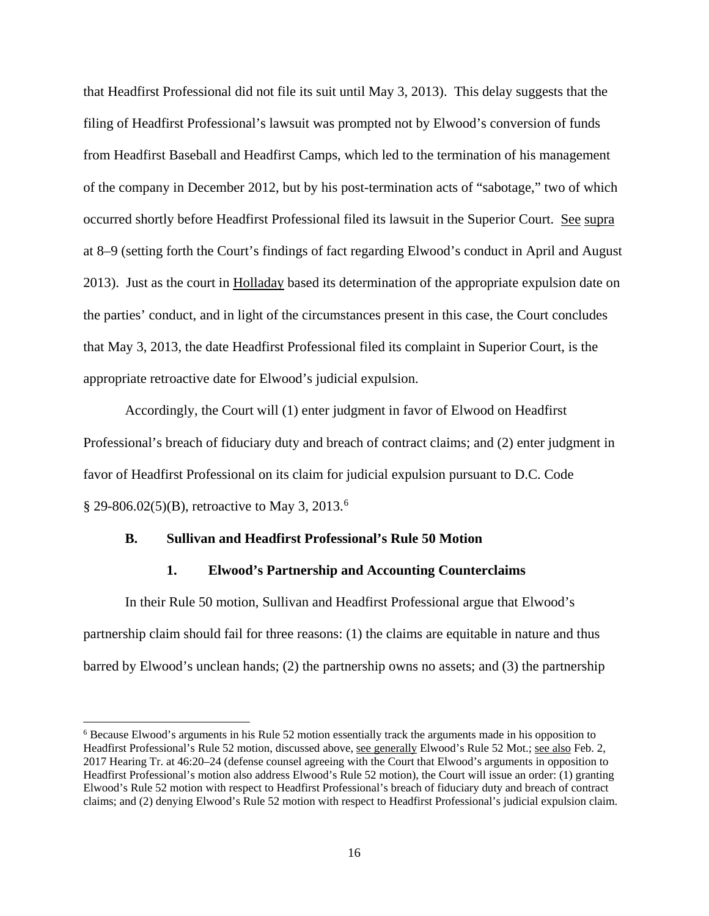that Headfirst Professional did not file its suit until May 3, 2013). This delay suggests that the filing of Headfirst Professional's lawsuit was prompted not by Elwood's conversion of funds from Headfirst Baseball and Headfirst Camps, which led to the termination of his management of the company in December 2012, but by his post-termination acts of "sabotage," two of which occurred shortly before Headfirst Professional filed its lawsuit in the Superior Court. See supra at 8–9 (setting forth the Court's findings of fact regarding Elwood's conduct in April and August 2013). Just as the court in Holladay based its determination of the appropriate expulsion date on the parties' conduct, and in light of the circumstances present in this case, the Court concludes that May 3, 2013, the date Headfirst Professional filed its complaint in Superior Court, is the appropriate retroactive date for Elwood's judicial expulsion.

 Accordingly, the Court will (1) enter judgment in favor of Elwood on Headfirst Professional's breach of fiduciary duty and breach of contract claims; and (2) enter judgment in favor of Headfirst Professional on its claim for judicial expulsion pursuant to D.C. Code  $\S 29-806.02(5)(B)$  $\S 29-806.02(5)(B)$  $\S 29-806.02(5)(B)$ , retroactive to May 3, 2013.<sup>6</sup>

### **B. Sullivan and Headfirst Professional's Rule 50 Motion**

<u>.</u>

#### **1. Elwood's Partnership and Accounting Counterclaims**

In their Rule 50 motion, Sullivan and Headfirst Professional argue that Elwood's partnership claim should fail for three reasons: (1) the claims are equitable in nature and thus barred by Elwood's unclean hands; (2) the partnership owns no assets; and (3) the partnership

<span id="page-15-0"></span><sup>6</sup> Because Elwood's arguments in his Rule 52 motion essentially track the arguments made in his opposition to Headfirst Professional's Rule 52 motion, discussed above, see generally Elwood's Rule 52 Mot.; see also Feb. 2, 2017 Hearing Tr. at 46:20–24 (defense counsel agreeing with the Court that Elwood's arguments in opposition to Headfirst Professional's motion also address Elwood's Rule 52 motion), the Court will issue an order: (1) granting Elwood's Rule 52 motion with respect to Headfirst Professional's breach of fiduciary duty and breach of contract claims; and (2) denying Elwood's Rule 52 motion with respect to Headfirst Professional's judicial expulsion claim.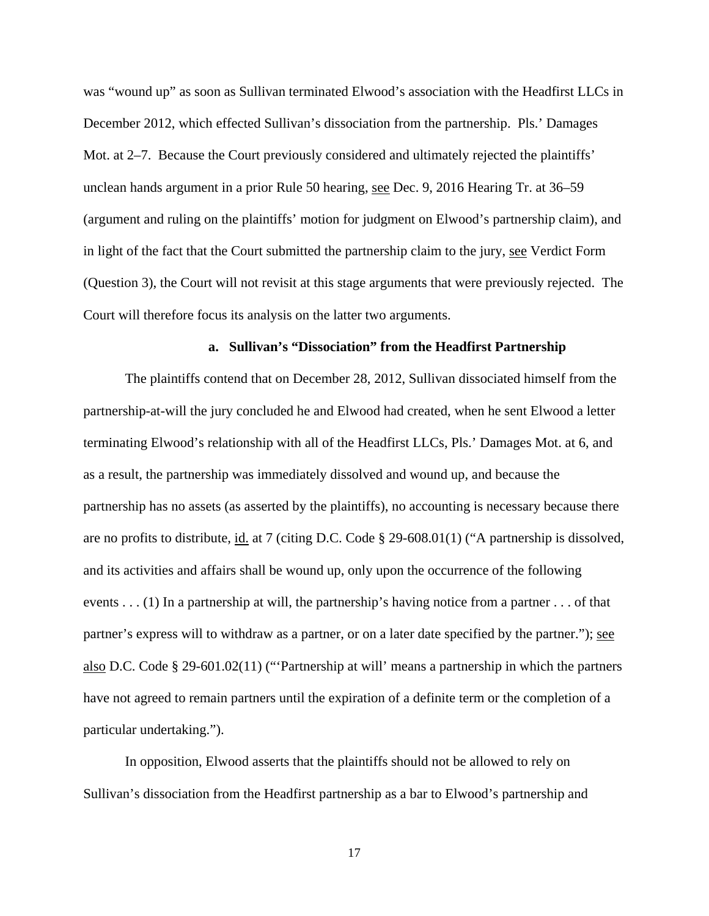was "wound up" as soon as Sullivan terminated Elwood's association with the Headfirst LLCs in December 2012, which effected Sullivan's dissociation from the partnership. Pls.' Damages Mot. at 2–7. Because the Court previously considered and ultimately rejected the plaintiffs' unclean hands argument in a prior Rule 50 hearing, see Dec. 9, 2016 Hearing Tr. at 36–59 (argument and ruling on the plaintiffs' motion for judgment on Elwood's partnership claim), and in light of the fact that the Court submitted the partnership claim to the jury, see Verdict Form (Question 3), the Court will not revisit at this stage arguments that were previously rejected. The Court will therefore focus its analysis on the latter two arguments.

#### **a. Sullivan's "Dissociation" from the Headfirst Partnership**

The plaintiffs contend that on December 28, 2012, Sullivan dissociated himself from the partnership-at-will the jury concluded he and Elwood had created, when he sent Elwood a letter terminating Elwood's relationship with all of the Headfirst LLCs, Pls.' Damages Mot. at 6, and as a result, the partnership was immediately dissolved and wound up, and because the partnership has no assets (as asserted by the plaintiffs), no accounting is necessary because there are no profits to distribute, id. at 7 (citing D.C. Code § 29-608.01(1) ("A partnership is dissolved, and its activities and affairs shall be wound up, only upon the occurrence of the following events . . . (1) In a partnership at will, the partnership's having notice from a partner . . . of that partner's express will to withdraw as a partner, or on a later date specified by the partner."); see also D.C. Code § 29-601.02(11) ("'Partnership at will' means a partnership in which the partners have not agreed to remain partners until the expiration of a definite term or the completion of a particular undertaking.").

In opposition, Elwood asserts that the plaintiffs should not be allowed to rely on Sullivan's dissociation from the Headfirst partnership as a bar to Elwood's partnership and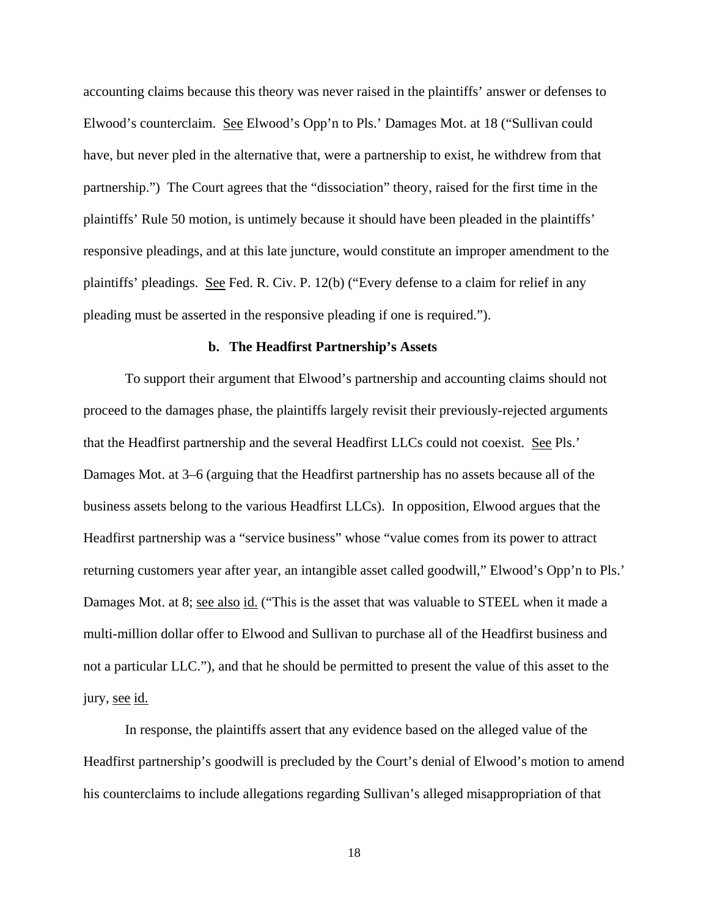accounting claims because this theory was never raised in the plaintiffs' answer or defenses to Elwood's counterclaim. See Elwood's Opp'n to Pls.' Damages Mot. at 18 ("Sullivan could have, but never pled in the alternative that, were a partnership to exist, he withdrew from that partnership.") The Court agrees that the "dissociation" theory, raised for the first time in the plaintiffs' Rule 50 motion, is untimely because it should have been pleaded in the plaintiffs' responsive pleadings, and at this late juncture, would constitute an improper amendment to the plaintiffs' pleadings. See Fed. R. Civ. P. 12(b) ("Every defense to a claim for relief in any pleading must be asserted in the responsive pleading if one is required.").

#### **b. The Headfirst Partnership's Assets**

To support their argument that Elwood's partnership and accounting claims should not proceed to the damages phase, the plaintiffs largely revisit their previously-rejected arguments that the Headfirst partnership and the several Headfirst LLCs could not coexist. See Pls.' Damages Mot. at 3–6 (arguing that the Headfirst partnership has no assets because all of the business assets belong to the various Headfirst LLCs). In opposition, Elwood argues that the Headfirst partnership was a "service business" whose "value comes from its power to attract returning customers year after year, an intangible asset called goodwill," Elwood's Opp'n to Pls.' Damages Mot. at 8; see also id. ("This is the asset that was valuable to STEEL when it made a multi-million dollar offer to Elwood and Sullivan to purchase all of the Headfirst business and not a particular LLC."), and that he should be permitted to present the value of this asset to the jury, see id.

In response, the plaintiffs assert that any evidence based on the alleged value of the Headfirst partnership's goodwill is precluded by the Court's denial of Elwood's motion to amend his counterclaims to include allegations regarding Sullivan's alleged misappropriation of that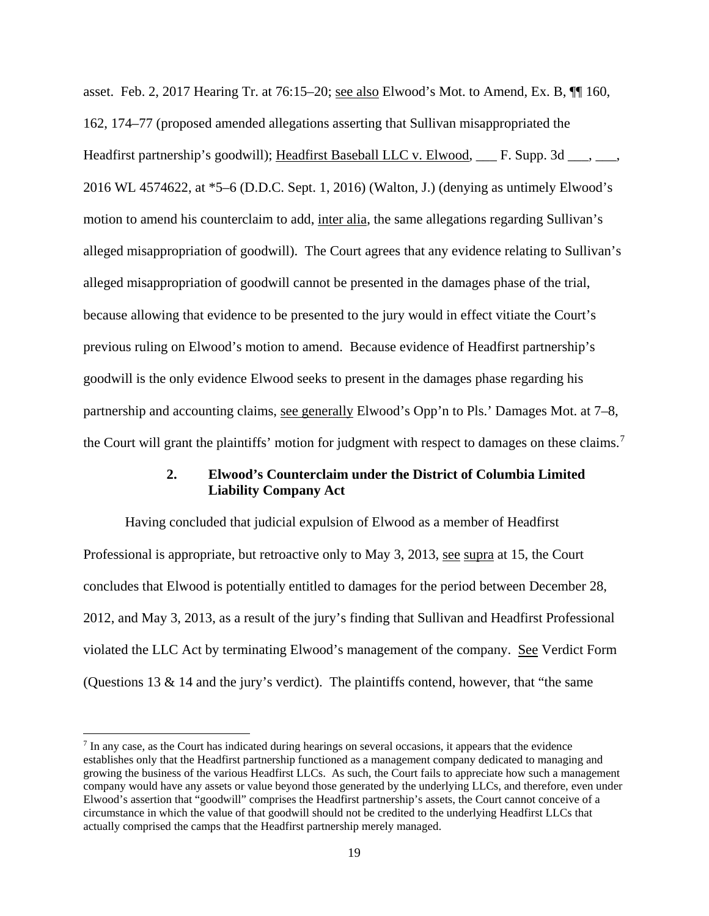asset. Feb. 2, 2017 Hearing Tr. at 76:15–20; see also Elwood's Mot. to Amend, Ex. B, ¶¶ 160, 162, 174–77 (proposed amended allegations asserting that Sullivan misappropriated the Headfirst partnership's goodwill); Headfirst Baseball LLC v. Elwood, \_\_\_ F. Supp. 3d \_\_\_, \_\_\_, 2016 WL 4574622, at \*5–6 (D.D.C. Sept. 1, 2016) (Walton, J.) (denying as untimely Elwood's motion to amend his counterclaim to add, inter alia, the same allegations regarding Sullivan's alleged misappropriation of goodwill). The Court agrees that any evidence relating to Sullivan's alleged misappropriation of goodwill cannot be presented in the damages phase of the trial, because allowing that evidence to be presented to the jury would in effect vitiate the Court's previous ruling on Elwood's motion to amend. Because evidence of Headfirst partnership's goodwill is the only evidence Elwood seeks to present in the damages phase regarding his partnership and accounting claims, see generally Elwood's Opp'n to Pls.' Damages Mot. at 7–8, the Court will grant the plaintiffs' motion for judgment with respect to damages on these claims.<sup>[7](#page-18-0)</sup>

## **2. Elwood's Counterclaim under the District of Columbia Limited Liability Company Act**

Having concluded that judicial expulsion of Elwood as a member of Headfirst Professional is appropriate, but retroactive only to May 3, 2013, see supra at 15, the Court concludes that Elwood is potentially entitled to damages for the period between December 28, 2012, and May 3, 2013, as a result of the jury's finding that Sullivan and Headfirst Professional violated the LLC Act by terminating Elwood's management of the company. See Verdict Form (Questions 13 & 14 and the jury's verdict). The plaintiffs contend, however, that "the same

 $\overline{a}$ 

<span id="page-18-0"></span><sup>&</sup>lt;sup>7</sup> In any case, as the Court has indicated during hearings on several occasions, it appears that the evidence establishes only that the Headfirst partnership functioned as a management company dedicated to managing and growing the business of the various Headfirst LLCs. As such, the Court fails to appreciate how such a management company would have any assets or value beyond those generated by the underlying LLCs, and therefore, even under Elwood's assertion that "goodwill" comprises the Headfirst partnership's assets, the Court cannot conceive of a circumstance in which the value of that goodwill should not be credited to the underlying Headfirst LLCs that actually comprised the camps that the Headfirst partnership merely managed.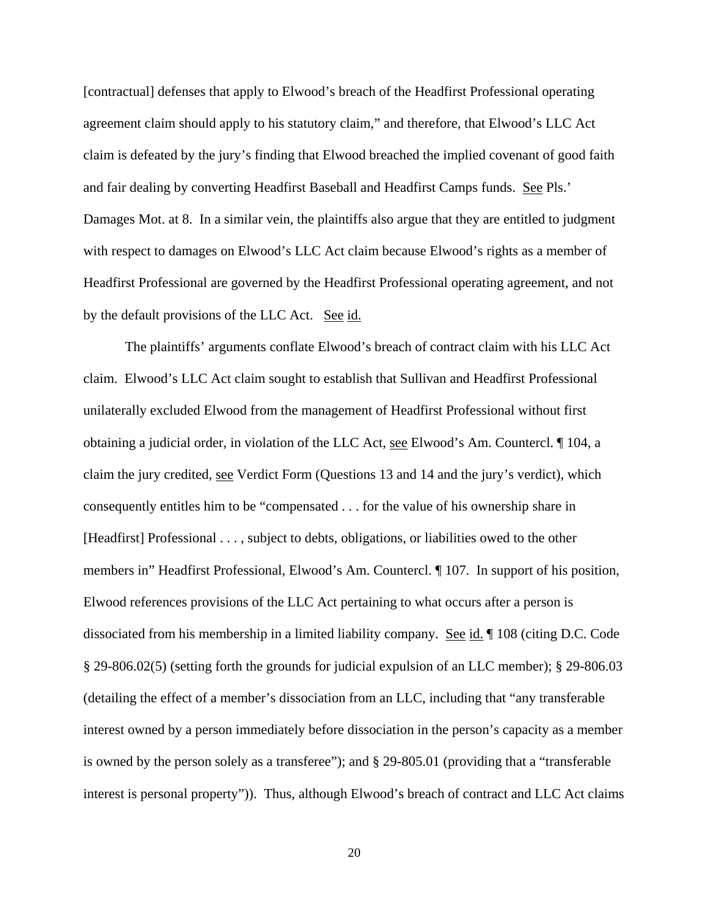[contractual] defenses that apply to Elwood's breach of the Headfirst Professional operating agreement claim should apply to his statutory claim," and therefore, that Elwood's LLC Act claim is defeated by the jury's finding that Elwood breached the implied covenant of good faith and fair dealing by converting Headfirst Baseball and Headfirst Camps funds. See Pls.' Damages Mot. at 8. In a similar vein, the plaintiffs also argue that they are entitled to judgment with respect to damages on Elwood's LLC Act claim because Elwood's rights as a member of Headfirst Professional are governed by the Headfirst Professional operating agreement, and not by the default provisions of the LLC Act. See id.

The plaintiffs' arguments conflate Elwood's breach of contract claim with his LLC Act claim. Elwood's LLC Act claim sought to establish that Sullivan and Headfirst Professional unilaterally excluded Elwood from the management of Headfirst Professional without first obtaining a judicial order, in violation of the LLC Act, see Elwood's Am. Countercl. ¶ 104, a claim the jury credited, see Verdict Form (Questions 13 and 14 and the jury's verdict), which consequently entitles him to be "compensated . . . for the value of his ownership share in [Headfirst] Professional . . . , subject to debts, obligations, or liabilities owed to the other members in" Headfirst Professional, Elwood's Am. Countercl. ¶ 107. In support of his position, Elwood references provisions of the LLC Act pertaining to what occurs after a person is dissociated from his membership in a limited liability company. See id. ¶ 108 (citing D.C. Code § 29-806.02(5) (setting forth the grounds for judicial expulsion of an LLC member); § 29-806.03 (detailing the effect of a member's dissociation from an LLC, including that "any transferable interest owned by a person immediately before dissociation in the person's capacity as a member is owned by the person solely as a transferee"); and § 29-805.01 (providing that a "transferable interest is personal property")). Thus, although Elwood's breach of contract and LLC Act claims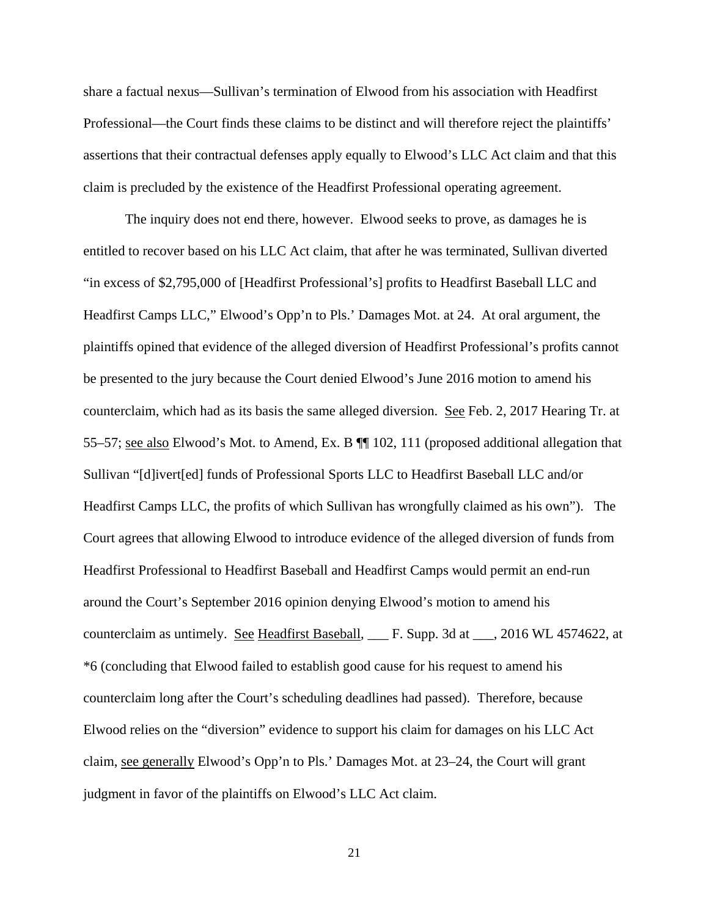share a factual nexus—Sullivan's termination of Elwood from his association with Headfirst Professional—the Court finds these claims to be distinct and will therefore reject the plaintiffs' assertions that their contractual defenses apply equally to Elwood's LLC Act claim and that this claim is precluded by the existence of the Headfirst Professional operating agreement.

The inquiry does not end there, however. Elwood seeks to prove, as damages he is entitled to recover based on his LLC Act claim, that after he was terminated, Sullivan diverted "in excess of \$2,795,000 of [Headfirst Professional's] profits to Headfirst Baseball LLC and Headfirst Camps LLC," Elwood's Opp'n to Pls.' Damages Mot. at 24. At oral argument, the plaintiffs opined that evidence of the alleged diversion of Headfirst Professional's profits cannot be presented to the jury because the Court denied Elwood's June 2016 motion to amend his counterclaim, which had as its basis the same alleged diversion. See Feb. 2, 2017 Hearing Tr. at 55–57; see also Elwood's Mot. to Amend, Ex. B ¶¶ 102, 111 (proposed additional allegation that Sullivan "[d]ivert[ed] funds of Professional Sports LLC to Headfirst Baseball LLC and/or Headfirst Camps LLC, the profits of which Sullivan has wrongfully claimed as his own"). The Court agrees that allowing Elwood to introduce evidence of the alleged diversion of funds from Headfirst Professional to Headfirst Baseball and Headfirst Camps would permit an end-run around the Court's September 2016 opinion denying Elwood's motion to amend his counterclaim as untimely. See Headfirst Baseball, \_\_\_ F. Supp. 3d at \_\_\_, 2016 WL 4574622, at \*6 (concluding that Elwood failed to establish good cause for his request to amend his counterclaim long after the Court's scheduling deadlines had passed). Therefore, because Elwood relies on the "diversion" evidence to support his claim for damages on his LLC Act claim, see generally Elwood's Opp'n to Pls.' Damages Mot. at 23–24, the Court will grant judgment in favor of the plaintiffs on Elwood's LLC Act claim.